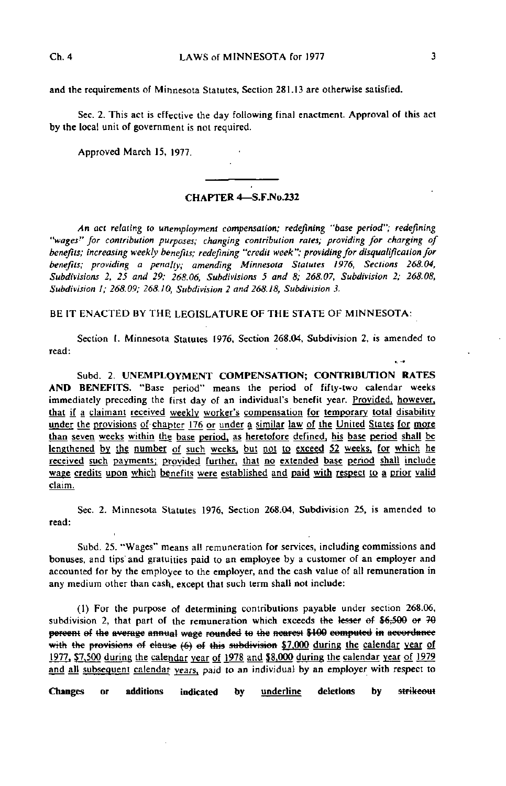Sec. 2. This act is effective the day following final enactment. Approval of this act by the local unit of government is not required.

Approved March 15, 1977.

## CHAPTER 4—S.F.No.232

An act relating to unemployment compensation; redefining "base period"; redefining "wages'" for contribution purposes; changing contribution rates; providing for charging of benefits; increasing weekly benefits; redefining "credit week"; providing for disqualification for benefits; providing a penalty; amending Minnesota Statutes 1976, Sections 268.04, Subdivisions 2, 25 and 29; 268.06, Subdivisions 5 and 8; 268.07, Subdivision 2; 268.08, Subdivision I; 268.09; 268.10, Subdivision 2 and 268.18, Subdivision 3.

BE IT ENACTED BY THE LEGISLATURE OF THE STATE OF MINNESOTA:

Section I. Minnesota Statutes 1976, Section 268.04, Subdivision 2, is amended to read:

Subd. 2. UNEMPLOYMENT COMPENSATION; CONTRIBUTION RATES AND BENEFITS. "Base period" means the period of fifty-two calendar weeks immediately preceding the first day of an individual's benefit year. Provided, however, that if a claimant received weekly worker's compensation for temporary total disability under the provisions of chapter 176 or under a similar law of the United States for more than seven weeks within the base period, as heretofore defined, his base period shall be lengthened by the number of such weeks, but not to exceed 52 weeks, for which he received such payments; provided further, that no extended base period shall include wage credits upon which benefits were established and paid with respect to a prior valid claim.

Sec. 2. Minnesota Statutes 1976, Section 268.04, Subdivision 25, is amended to read:

Subd. 25. "Wages" means all remuneration for services, including commissions and bonuses, and tips'and gratuities paid to an employee by a customer of an employer and accounted for by the employee to the employer, and the cash value of all remuneration in any medium other than cash, except that such term shall not include:

(1) For the purpose of determining contributions payable under section 268.06, subdivision 2, that part of the remuneration which exceeds the lesser of  $$6,500$  or  $79$ percent of the average annual wage rounded to the nearest \$100 computed in accordance with the provisions of elause (6) of this subdivision  $$7,000$  during the calendar year of 1977. \$7,500 during the calendar year of 1978 and \$8,000 during the calendar year of 1979 and all subsequent calendar years, paid to an individual by an employer with respect to

Changes or additions indicated by underline deletions by strikeout

 $\mathbf{u}$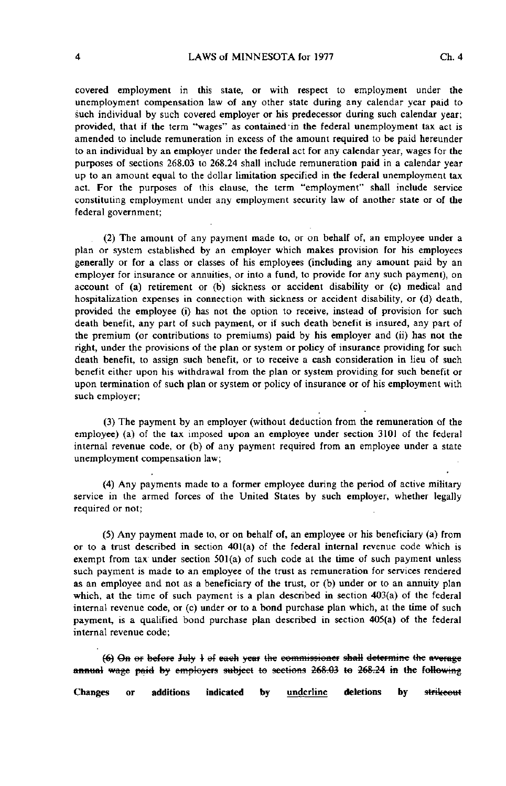covered employment in this state, or with respect to employment under the unemployment compensation law of any other state during any calendar year paid to such individual by such covered employer or his predecessor during such calendar year; provided, that if the term "wages" as contained'in the federal unemployment tax act is amended to include remuneration in excess of the amount required to be paid hereunder to an individual by an employer under the federal act for any calendar year, wages for the purposes of sections 268.03 to 268.24 shall include remuneration paid in a calendar year up to an amount equal to the dollar limitation specified in the federal unemployment tax act. For the purposes of this clause, the term "employment" shall include service constituting employment under any employment security law of another state or of the federal government;

(2) The amount of any payment made to, or on behalf of, an employee under a plan or system established by an employer which makes provision for his employees generally or for a class or classes of his employees (including any amount paid by an employer for insurance or annuities, or into a fund, to provide for any such payment), on account of (a) retirement or (b) sickness or accident disability or (c) medical and hospitalization expenses in connection with sickness or accident disability, or (d) death, provided the employee (i) has not the option to receive, instead of provision for such death benefit, any part of such payment, or if such death benefit is insured, any part of the premium (or contributions to premiums) paid by his employer and (ii) has not the right, under the provisions of the plan or system or policy of insurance providing for such death benefit, to assign such benefit, or to receive a cash consideration in lieu of such benefit either upon his withdrawal from the plan or system providing for such benefit or upon termination of such plan or system or policy of insurance or of his employment with such employer;

(3) The payment by an employer (without deduction from the remuneration of the employee) (a) of the tax imposed upon an employee under section 3101 of the federal internal revenue code, or (b) of any payment required from an employee under a state unemployment compensation law;

(4) Any payments made to a former employee during the period of active military service in the armed forces of the United States by such employer, whether legally required or not;

(5) Any payment made to, or on behalf of, an employee or his beneficiary (a) from or to a trust described in section 401(a) of the federal internal revenue code which is exempt from tax under section  $501(a)$  of such code at the time of such payment unless such payment is made to an employee of the trust as remuneration for services rendered as an employee and not as a beneficiary of the trust, or (b) under or to an annuity plan which, at the time of such payment is a plan described in section 403(a) of the federal internal revenue code, or (c) under or to a bond purchase plan which, at the time of such payment, is a qualified bond purchase plan described in section 405(a) of the federal internal revenue code;

 $(6)$  On or before July  $\frac{1}{2}$  of each year the commissioner shall determine the average annual wage paid by employers subject to sections 268.03 to 268.24 in the following

Changes or additions indicated by <u>underline</u> deletions by st<del>rikeout</del>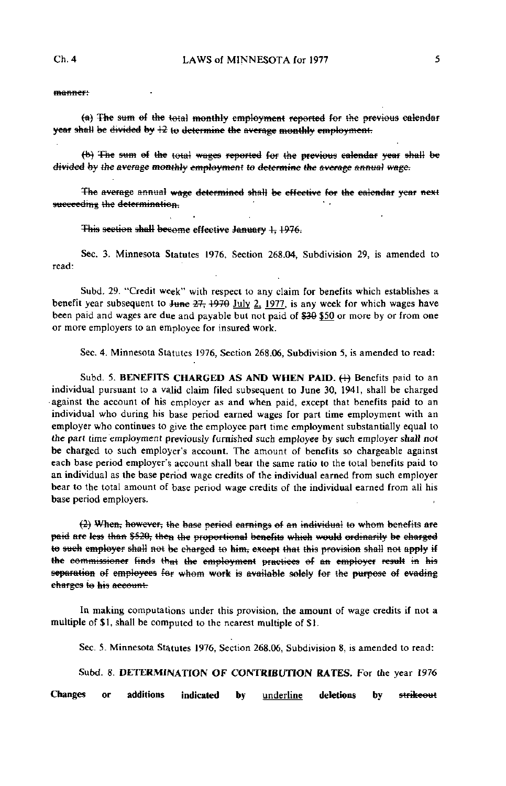manner:

(a) The sum of the total monthly employment reported for the previous calendar year shall be divided by 43 to determine the average monthly employment.

(b) The sum of the total wages reported for the previous calendar year shall be divided by the average monthly employment to determine the average annual wage.

The average annual wage determined shall be effective for the calendar year next succeeding the determination.

This section shall become effective January 1, 1976.

Sec. 3. Minnesota Statutes 1976, Section 268.04, Subdivision 29, is amended to read:

Subd. 29. "Credit week" with respect to any claim for benefits which establishes a benefit year subsequent to  $\frac{1}{27}$ ,  $\frac{1970}{197}$ ,  $\frac{1977}{18}$  any week for which wages have been paid and wages are due and payable but not paid of \$30 \$50 or more by or from one or more employers to an employee for insured work.

Sec. 4. Minnesota Statutes 1976, Section 268.06, Subdivision 5, is amended to read:

Subd. 5. BENEFITS CHARGED AS AND WHEN PAID. (4) Benefits paid to an individual pursuant to a valid claim filed subsequent to June 30, 1941, shall be charged •against the account of his employer as and when paid, except that benefits paid to an individual who during his base period earned wages for part time employment with an employer who continues to give the employee part time employment substantially equal to the part time employment previously furnished such employee by such employer shall not be charged to such employer's account. The amount of benefits so chargeable against each base period employer's account shall bear the same ratio to the total benefits paid to an individual as the base period wage credits of the individual earned from such employer bear to the total amount of base period wage credits of the individual earned from all his base period employers.

 $(2)$  When, however, the base period earnings of an individual to whom benefits are paid are less than \$520, then the proportional benefits which would ordinarily be charged to such employer shall not be charged to him, except that this provision shall not apply if the commissioner finds that the employment practices of an employer result in his separation of employees for whom work is available solely for the purpose of evading charges to his account.

In making computations under this provision, the amount of wage credits if not a multiple of \$1, shall be computed to the nearest multiple of \$1.

Sec. 5. Minnesota Statutes 1976, Section 268.06, Subdivision 8, is amended to read:

Subd. 8. DETERMINATION OF CONTRIBUTION RATES. For the year 1976

Changes or additions indicated by **underline** deletions by strikeout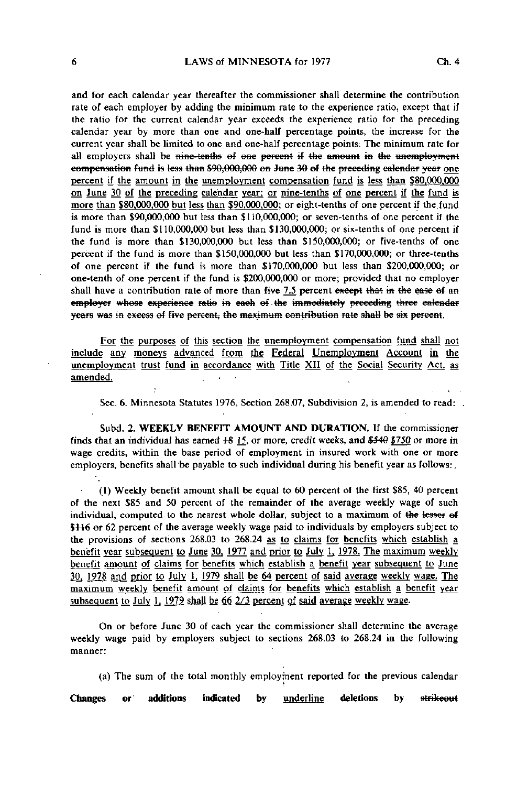and for each calendar year thereafter the commissioner shall determine the contribution rate of each employer by adding the minimum rate to the experience ratio, except that if the ratio for the current calendar year exceeds the experience ratio for the preceding calendar year by more than one and one-half percentage points, the increase for the current year shall be limited to one and one-half percentage points: The minimum rate for all employers shall be nine-tenths of one percent if the amount in the unemployment compensation fund is less than S90,000,000 en June 30 ef the preceding calendar year one percent if the amount in the unemployment compensation fund is less than \$80,000.000 on June 30 of the preceding calendar year; or nine-tenths of one percent if the fund is more than \$80.000.000 but less than \$90.000.000: or eight-tenths of one percent if the fund is more than \$90,000,000 but less than \$110,000,000; or seven-tenths of one percent if the fund is more than \$110,000,000 but less than \$130,000,000; or six-tenths of one percent if the fund is more than \$130,000,000 but less than \$150,000,000; or five-tenths of one percent if the fund is more than \$150,000,000 but less than \$170,000,000; or three-tenths of one percent if the fund is more than \$170,000,000 but less than \$200,000,000; or one-tenth of one percent if the fund is \$200,000,000 or more; provided that no employer shall have a contribution rate of more than  $five$  7.5 percent except that in the ease of an employer whose experience ratio in each of the immediately preceding three calendar years was in excess of five percent, the maximum contribution rate shall be six percent.

For the purposes of this section the unemployment compensation fund shall not include any moneys advanced from the Federal Unemployment Account in the unemployment trust fund in accordance with Title XII of the Social Security Act, as amended. .

 $\bullet$ 

Sec. 6. Minnesota Statutes 1976, Section 268.07, Subdivision 2, is amended to read:

Subd. 2. WEEKLY BENEFIT AMOUNT AND DURATION. If the commissioner finds that an individual has earned  $+8$  15, or more, credit weeks, and  $$540$   $$750$  or more in wage credits, within the base period of employment in insured work with one or more employers, benefits shall be payable to such individual during his benefit year as follows:,

(1) Weekly benefit amount shall be equal to 60 percent of the first \$85, 40 percent of the next \$85 and 50 percent of the remainder of the average weekly wage of such individual, computed to the nearest whole dollar, subject to a maximum of the lesser of \$116 or 62 percent of the average weekly wage paid to individuals by employers subject to the provisions of sections 268.03 to 268.24 as to claims for benefits which establish a benefit year subsequent to June 30, 1977 and prior to July 1, 1978. The maximum weekly benefit amount of claims for benefits which establish a benefit year subsequent to June 30, 1978 and prior to July 1, 1979 shall be 64 percent of said average weekly wage. The maximum weekly benefit amount of claims for benefits which establish a benefit year subsequent to July 1, 1979 shall be 66 2/3 percent of said average weekly wage.

On or before June 30 of each year the commissioner shall determine the average weekly wage paid by employers subject to sections 268.03 to 268.24 in the following manner:

(a) The sum of the total monthly employment reported for the previous calendar

Changes or additions indicated by <u>underline</u> deletions by strikeout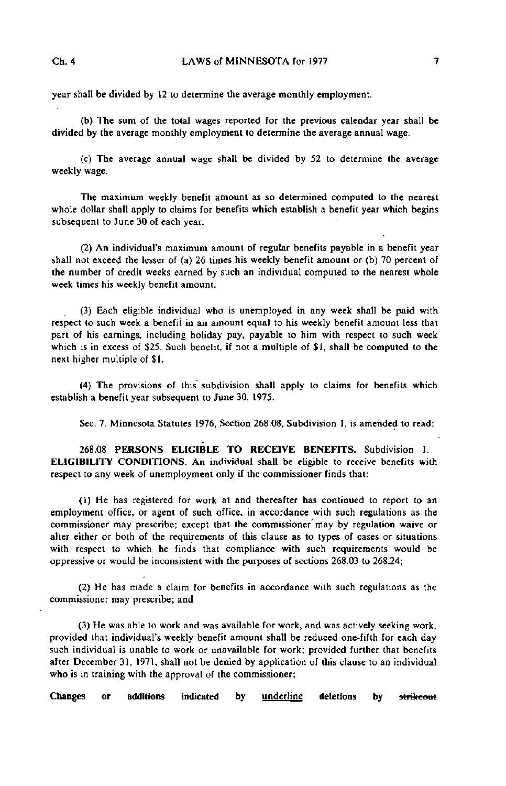year shall be divided by 12 to determine the average monthly employment.

(b) The sum of the total wages reported for the previous calendar year shall be divided by the average monthly employment to determine the average annual wage.

(c) The average annual wage shall be divided by 52 to determine the average weekly wage.

The maximum weekly benefit amount as so determined computed to the nearest whole dollar shall apply to claims for benefits which establish a benefit year which begins subsequent to June 30 of each year.

(2) An individual's maximum amount of regular benefits payable in a benefit year shall not exceed the lesser of (a) 26 times his weekly benefit amount or (b) 70 percent of the number of credit weeks earned by such an individual computed to the nearest whole week times his weekly benefit amount.

(3) Each eligible individual who is unemployed in any week shall be paid with respect to such week a benefit in an amount equal to his weekly benefit amount less that part of his earnings, including holiday pay, payable to him with respect to such week which is in excess of \$25. Such benefit, if not a multiple of \$1, shall be computed to the next higher multiple of SI.

(4) The provisions of this subdivision shall apply to claims for benefits which establish a benefit year subsequent to June 30, 1975.

Sec. 7. Minnesota Statutes 1976, Section 268.08, Subdivision 1, is amended to read:

268.08 PERSONS ELIGIBLE TO RECEIVE BENEFITS. Subdivision 1. ELIGIBILITY CONDITIONS. An individual shall be eligible to receive benefits with respect to any week of unemployment only if the commissioner finds that:

(1) He has registered for work at and thereafter has continued to report to an employment office, or agent of such office, in accordance with such regulations as the commissioner may prescribe; except that the commissioner'may by regulation waive or alter either or both of the requirements of this clause as to types of cases or situations with respect to which he finds that compliance with such requirements would be oppressive or would be inconsistent with the purposes of sections 268.03 to 268.24;

(2) He has made a claim for benefits in accordance with such regulations as the commissioner may prescribe; and

(3) He was able to work and was available for work, and was actively seeking work, provided that individual's weekly benefit amount shall be reduced one-fifth for each day such individual is unable to work or unavailable for work; provided further that benefits after December 31, 1971, shall not be denied by application of this clause to an individual who is in training with the approval of the commissioner;

Changes or additions indicated by <u>underline</u> deletions by <del>strikeou</del>t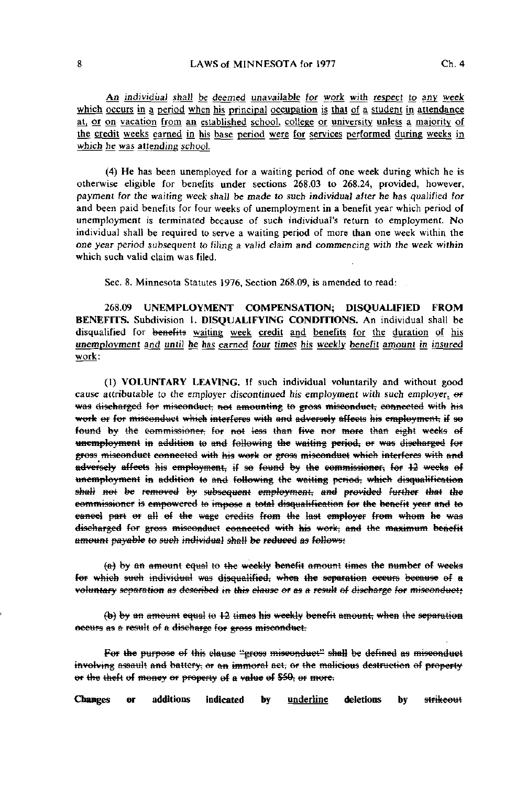An individual shall be deemed unavailable for work with respect to any week which occurs in a period when his principal occupation is that of a student in attendance at, or on vacation from an established school, college or university unless a majority of the credit weeks earned in his base period were for services performed during weeks in which he was attending school.

(4) He has been unemployed for a waiting period of one week during which he is otherwise eligible for benefits under sections 268.03 to 268.24, proyided, however, payment for the wailing week shall be made to such individual after he has qualified for and been paid benefits for four weeks of unemployment in a benefit year which period of unemployment is terminated because of such individual's return to employment. No individual shall be required to serve a waiting period of more than one week within the one year period subsequent to filing a valid claim and commencing with the week within which such valid claim was filed.

Sec. 8. Minnesota Statutes 1976, Section 268.09, is amended to read:

268.09 UNEMPLOYMENT COMPENSATION; DISQUALIFIED FROM BENEFITS. Subdivision 1. DISQUALIFYING CONDITIONS. An individual shall be disqualified for benefits waiting week credit and benefits for the duration of his unemployment and until he has earned four times his weekly benefit amount in insured work:

(1) VOLUNTARY LEAVING. If such individual voluntarily and without good cause attributable to the employer discontinued his employment with such employer.  $\Theta$ F was discharged for misconduct, not amounting to gross misconduct, connected with his work or for misconduct which interferes with and adversely affects his employment, if so found by the commissioner, for not less than five nor more than eight weeks of unemployment in addition to and following the waiting period, or was discharged for gross misconduct connected with his work or gross misconduct which interferes with and adversely affects his employment, if so found by the commissioner; for 12 weeks of unemployment in addition to and following the waiting period, which disqualification shall not be removed by subsequent employment, and provided further that the commissioner is empowered to impose a total disqualification for the benefit year and to cancel part or all of the wage credits from the last employer from whom he was discharged for gross misconduct connected with his work, and the maximum benefit amount payable to such individual shall be reduced as follows;

(a) by an amount equal to the weekly benefit amount times the number of weeks for which such individual was disqualified, when the separation occurs because of a voluntary separation as described in this clause or as a result of discharge for misconduct;

 $(b)$  by an amount equal to  $12$  times his weekly benefit amount; when the separation eceurs as a result of a discharge for gross misconduct.

For the purpose of this clause "gross misconduct" shall be defined as misconduct involving assault and battery; or an immoral aet; or the malicious destruction of property or the theft of money or property of a value of \$50, or more.

Changes or additions indicated by underline deletions bystrikeout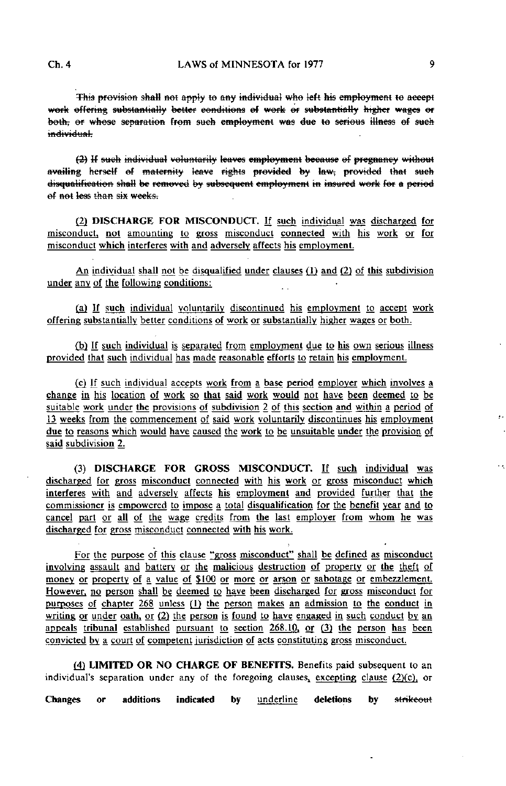This provision shall not apply to any individual who left his employment to accept work effering substantially better conditions of work or substantially higher wages or both, or whose separation from such employment was due to serious illness of such individual.

(3) Jf such individual voluntarily leaves employment because ef pregnancy without disqualification shall be removed by subsequent employment in insured work for a period of not less than six weeks.

(2) DISCHARGE FOR MISCONDUCT. If such individual was discharged for misconduct, not amounting to gross misconduct connected with his work or for misconduct which interferes with and adversely affects his employment.

An individual shall not be disqualified under clauses (1) and (2) of this subdivision under any of the following conditions:

(a) If such individual voluntarily discontinued his employment to accept work offering substantially better conditions of work or substantially higher wages or both.

(b) If such individual is separated from employment due to his own serious illness provided that such individual has made reasonable efforts to retain his employment.

(c) If such individual accepts work from a base period employer which involves a change in his location of work so that said work would not have been deemed to be suitable work under the provisions of subdivision 2 of this section and within a period of 13 weeks from the commencement of said work voluntarily discontinues his employment due to reasons which would have caused the work to be unsuitable under the provision of said subdivision 2.

(3) DISCHARGE FOR GROSS MISCONDUCT. If such individual was discharged for gross misconduct connected with his work or gross misconduct which interferes with and adversely affects his employment and provided further that the commissioner is empowered to impose a total disqualification for the benefit year and to cancel part or all of the wage credits from the last employer from whom he was discharged for gross misconduct connected with his work.

For the purpose of this clause "gross misconduct" shall be defined as misconduct involving assault and battery or the malicious destruction of property or the theft of money or property of a value of \$100 or more or arson or sabotage or embezzlement. However, no person shall be deemed to have been discharged for gross misconduct for purposes of chapter 268 unless (1) the person makes an admission to the conduct in writing or under oath, or  $(2)$  the person is found to have engaged in such conduct by an appeals tribunal established pursuant to section  $268.10$ , or  $(3)$  the person has been convicted by a court of competent jurisdiction of acts constituting gross misconduct.

(4) LIMITED OR NO CHARGE OF BENEFITS. Benefits paid subsequent to an individual's separation under any of the foregoing clauses, excepting clause  $(2)(c)$ , or

Changes or additions indicated by underline deletions by strikeout

Ω.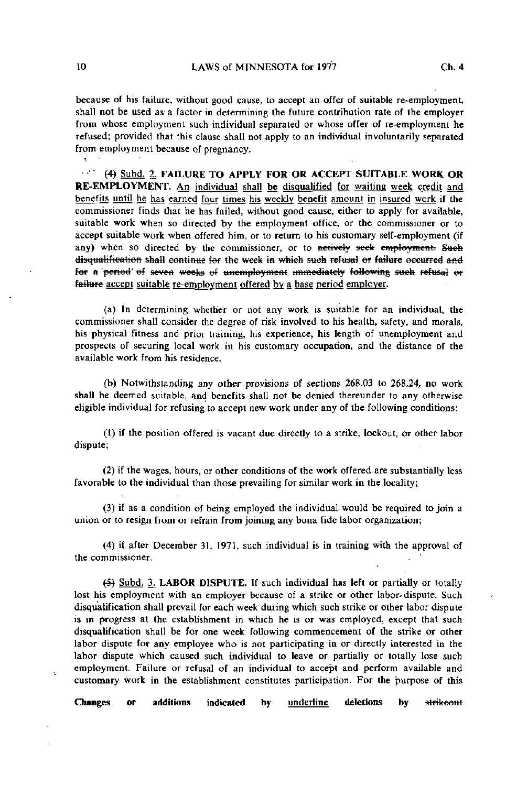because of his failure, without good cause, to accept an offer of suitable re-employment, shall not be used as a factor in determining the future contribution rate of the employer from whose employment such individual separated or whose offer of re-employment he refused; provided that this clause shall not apply to an individual involuntarily separated from employment because of pregnancy.

oz. (4) Subd. 2. FAILURE TO APPLY FOR OR ACCEPT SUITABLE WORK OR RE-EMPLOYMENT. An individual shall be disqualified for waiting week credit and benefits until he has earned four times his weekly benefit amount in insured work if the commissioner finds that he has failed, without good cause, either to apply for available, suitable work when so directed by the employment office, or the commissioner or to accept suitable work when offered him, or to return to his customary self-employment (if any) when so directed by the commissioner, or to actively seek employment. Such disqualification shall continue for the week in which such refusal or failure occurred and for a period of seven weeks of unemployment immediately following such refusal or failure accept suitable re-employment offered by a base period employer.

(a) In determining whether or not any work is suitable for an individual, the commissioner shall consider the degree of risk involved to his health, safety, and morals, his physical fitness and prior training, his experience, his length of unemployment and prospects of securing local work in his customary occupation, and the distance of the available work from his residence.

(b) Notwithstanding any other provisions of sections 268.03 to 268,24, no work shall be deemed suitable, and benefits shall not be denied thereunder to any otherwise eligible individual for refusing to accept new work under any of the following conditions:

(1) if the position offered is vacant due directly to a strike, lockout, or other labor dispute;

(2) if the wages, hours, or other conditions of the work offered are substantially less favorable to the individual than those prevailing for similar work in the locality;

(3) if as a condition of being employed the individual would be required to join a union or to resign from or refrain from joining any bona fide labor organization;

(4) if after December 31, 1971, such individual is in training with the approval of the commissioner.

(5) Subd. 3. LABOR DISPUTE. If such individual has left or partially or totally lost his employment with an employer because of a strike or other labor- dispute. Such disqualification shall prevail for each week during which such strike or other labor dispute is in progress at the establishment in which he is or was employed, except that such disqualification shall be for one week following commencement of the strike or other labor dispute for any employee who is not participating in or directly interested in the labor dispute which caused such individual to leave or partially or totally lose such employment. Failure or refusal of an individual to accept and perform available and customary work in the establishment constitutes participation. For the purpose of this

Changes or additions indicated by underline deletions by strikeout

 $\overline{\mathbf{r}}$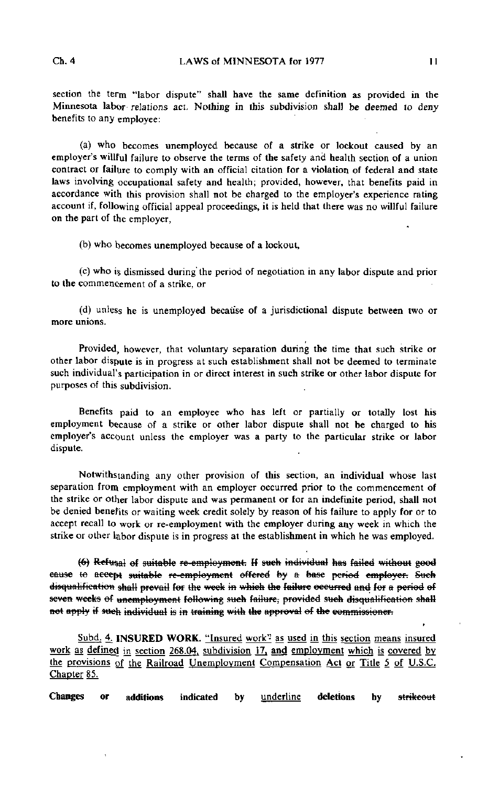section the term "labor dispute" shall have the same definition as provided in the Minnesota labor- relations act. Nothing in this subdivision shall be deemed to deny benefits to any employee:

(a) who becomes unemployed because of a strike or lockout caused by an employer's willful failure to observe the terms of the safety and health section of a union contract or failure to comply with an official citation for a violation of federal and state laws involving occupational safety and health; provided, however, that benefits paid in accordance with this provision shall not be charged to the employer's experience rating account if, following official appeal proceedings, it is held that there was no willful failure on the part of the employer,

(b) who becomes unemployed because of a lockout,

(c) who is dismissed during' the period of negotiation in any labor dispute and prior to the commencement of a strike, or

(d) unless he is unemployed because of a jurisdictional dispute between two or more unions.

Provided, however, that voluntary separation during the time that such strike or other labor dispute is in progress at such establishment shall not be deemed to terminate such individual's participation in or direct interest in such strike or other labor dispute for purposes of this subdivision.

Benefits paid to an employee who has left or partially or totally lost his employment because of a strike or other labor dispute shall not be charged to his employer's account unless the employer was a party to the particular strike or labor dispute.

Notwithstanding any other provision of this section, an individual whose last separation from employment with an employer occurred prior to the commencement of the strike or other labor dispute and was permanent or for an indefinite period, shall not be denied benefits or waiting week credit solely by reason of his failure to apply for or to accept recall to work or re-employment with the employer during any week in which the strike or other labor dispute is in progress at the establishment in which he was employed.

(6) Refusal of suitable re-employment. If such individual has failed without good cause to accept suitable re-employment offered by a base period employer. Such disqualification shall prevail for the week in which the failure occurred and for a period of seven weeks of unemployment following such failure, provided such disqualification shall not apply if such individual is in training with the approval of the commissioner.

Subd. 4. INSURED WORK. "Insured work" as used in this section means insured work as defined in section 268.04, subdivision 17, and employment which is covered by the provisions gf the Railroad Unemployment Compensation Act or Title 5 of U.S.C. Chapter 85.

Changes or additions indicated by <u>underline</u> deletions by <del>strikeout</del>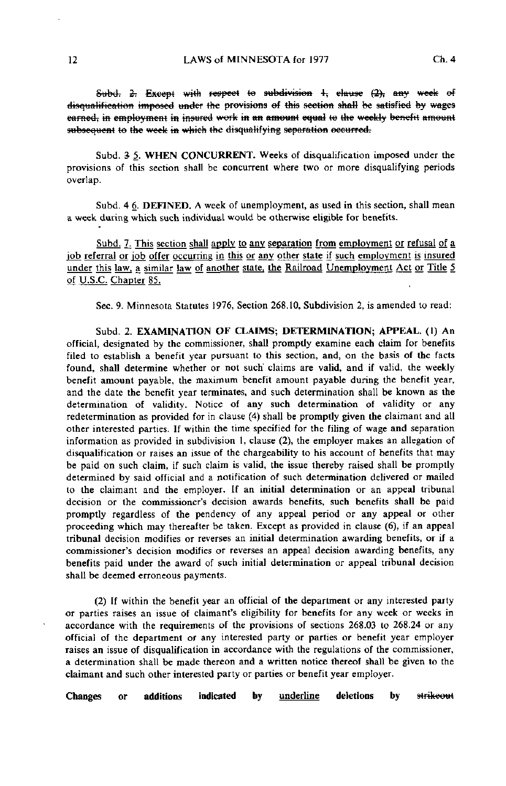Subd. 2. Except with respect to subdivision 1, clause (2), any week of disqualification imposed under the provisions of this section shall be satisfied by wages earned, in employment in insured work in an amount equal to the weekly benefit amount subsequent to the week in which the disqualifying separation occurred.

Subd. 3 5. WHEN CONCURRENT. Weeks of disqualification imposed under the provisions of this section shall be concurrent where two or more disqualifying periods overlap.

Subd. 4 6. DEFINED. A week of unemployment, as used in this section, shall mean a week during which such individual would be otherwise eligible for benefits.

Subd. 7. This section shall apply to any separation from employment or refusal of a job referral or job offer occurring in this or any other state if such employment is insured under this law, a similar law of another state, the Railroad Unemployment Act or Title 5 of U.S.C. Chanter 85.

Sec. 9. Minnesota Statutes 1976, Section 268.10, Subdivision 2, is amended to read:

Subd. 2. EXAMINATION OF CLAIMS; DETERMINATION; APPEAL. (1) An official, designated by the commissioner, shall promptly examine each claim for benefits filed to establish a benefit year pursuant to this section, and, on the basis of the facts found, shall determine whether or not such" claims are valid, and if valid, the weekly benefit amount payable, the maximum benefit amount payable during the benefit year, and the date the benefit year terminates, and such determination shall be known as the determination of validity. Notice of any such determination of validity or any redetermination as provided for in clause (4) shall be promptly given the claimant and all other interested parties. If within the time specified for the filing of wage and separation information as provided in subdivision 1, clause (2), the employer makes an allegation of disqualification or raises an issue of the chargeability to his account of benefits that may be paid on such claim, if such claim is valid, the issue thereby raised shall be promptly determined by said official and a notification of such determination delivered or mailed to the claimant and the employer. If an initial determination or an appeal tribunal decision or the commissioner's decision awards benefits, such benefits shall be paid promptly regardless of the pendency of any appeal period or any appeal or other proceeding which may thereafter be taken. Except as provided in clause (6), if an appeal tribunal decision modifies or reverses an initial determination awarding benefits, or if a commissioner's decision modifies or reverses an appeal decision awarding benefits, any benefits paid under the award of such initial determination or appeal tribunal decision shall be deemed erroneous payments.

(2) If within the benefit year an official of the department or any interested party or parties raises an issue of claimant's eligibility for benefits for any week or weeks in accordance with the requirements of the provisions of sections 268.03 to 268.24 or any official of the department or any interested party or parties or benefit year employer raises an issue of disqualification in accordance with the regulations of the commissioner, a determination shall be made thereon and a written notice thereof shall be given to the claimant and such other interested party or parties or benefit year employer.

Changes or additions indicated by <u>underline</u> deletions by strikeout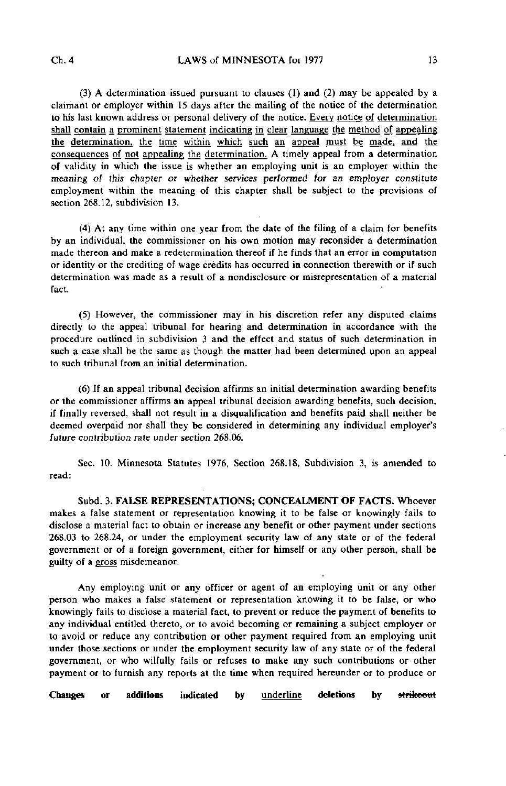(3) A determination issued pursuant to clauses (1) and (2) may be appealed by a claimant or employer within 15 days after the mailing of the notice of the determination to his last known address or personal delivery of the notice. Every notice of determination shall contain a prominent statement indicating in clear language the method of appealing the determination, the time within which such an appeal must be made, and the consequences of not appealing the determination. A timely appeal from a determination of validity in which the issue is whether an employing unit is an employer within the meaning of this chapter or whether services performed for an employer constitute employment within the meaning of this chapter shall be subject to the provisions of section 268.12, subdivision 13.

(4) At any time within one year from the date of the filing of a claim for benefits by an individual, the commissioner on his own motion may reconsider a determination made thereon and make a redetermination thereof if he finds that an error in computation or identity or the crediting of wage credits has occurred in connection therewith or if such determination was made as a result of a nondisclosure or misrepresentation of a material fact.

(5) However, the commissioner may in his discretion refer any disputed claims directly to the appeal tribunal for hearing and determination in accordance with the procedure outlined in subdivision 3 and the effect and status of such determination in such a case shall be the same as though the matter had been determined upon an appeal to such tribunal from an initial determination.

(6) If an appeal tribunal decision affirms an initial determination awarding benefits or the commissioner affirms an appeal tribunal decision awarding benefits, such decision, if finally reversed, shall not result in a disqualification and benefits paid shall neither be deemed overpaid nor shall they be considered in determining any individual employer's future contribution rate under section 268.06.

Sec. 10. Minnesota Statutes 1976, Section 268.18, Subdivision 3, is amended to read:

Subd. 3. FALSE REPRESENTATIONS; CONCEALMENT OF FACTS. Whoever makes a false statement or representation knowing it to be false or knowingly fails to disclose a material fact to obtain or increase any benefit or other payment under sections 268.03 to 268.24, or under the employment security law of any state or of the federal government or of a foreign government, either for himself or any other person, shall be guilty of a gross misdemeanor.

Any employing unit or any officer or agent of an employing unit or any other person who makes a false statement or representation knowing it to be false, or who knowingly fails to disclose a material fact, to prevent or reduce the payment of benefits to any individual entitled thereto, or to avoid becoming or remaining a subject employer or to avoid or reduce any contribution or other payment required from an employing unit under those sections or under the employment security law of any state or of the federal government, or who wilfully fails or refuses to make any such contributions or other payment or to furnish any reports at the time when required hereunder or to produce or

Changes or additions indicated by **underline** deletions by strikeout